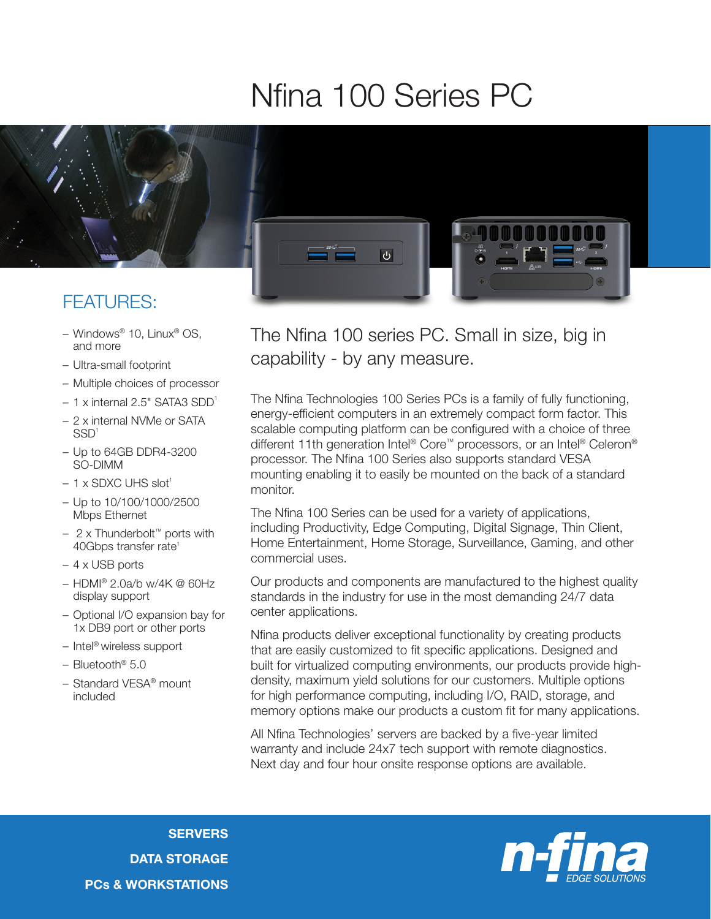## Nfina 100 Series PC



## FEATURES:

- Windows® 10, Linux® OS, and more
- Ultra-small footprint
- Multiple choices of processor
- $-1$  x internal 2.5" SATA3 SDD<sup>1</sup>
- 2 x internal NVMe or SATA SSD1
- Up to 64GB DDR4-3200 SO-DIMM
- $-1$  x SDXC UHS slot<sup>1</sup>
- Up to 10/100/1000/2500 Mbps Ethernet
- 2 x Thunderbolt™ ports with 40Gbps transfer rate<sup>1</sup>
- 4 x USB ports
- HDMI® 2.0a/b w/4K @ 60Hz display support
- Optional I/O expansion bay for 1x DB9 port or other ports
- Intel® wireless support
- Bluetooth® 5.0
- Standard VESA® mount included

The Nfina 100 series PC. Small in size, big in capability - by any measure.

The Nfina Technologies 100 Series PCs is a family of fully functioning, energy-efficient computers in an extremely compact form factor. This scalable computing platform can be configured with a choice of three different 11th generation Intel® Core™ processors, or an Intel® Celeron® processor. The Nfina 100 Series also supports standard VESA mounting enabling it to easily be mounted on the back of a standard monitor.

The Nfina 100 Series can be used for a variety of applications, including Productivity, Edge Computing, Digital Signage, Thin Client, Home Entertainment, Home Storage, Surveillance, Gaming, and other commercial uses.

Our products and components are manufactured to the highest quality standards in the industry for use in the most demanding 24/7 data center applications.

Nfina products deliver exceptional functionality by creating products that are easily customized to fit specific applications. Designed and built for virtualized computing environments, our products provide highdensity, maximum yield solutions for our customers. Multiple options for high performance computing, including I/O, RAID, storage, and memory options make our products a custom fit for many applications.

All Nfina Technologies' servers are backed by a five-year limited warranty and include 24x7 tech support with remote diagnostics. Next day and four hour onsite response options are available.

**SERVERS** DATA STORAGE PCs & WORKSTATIONS